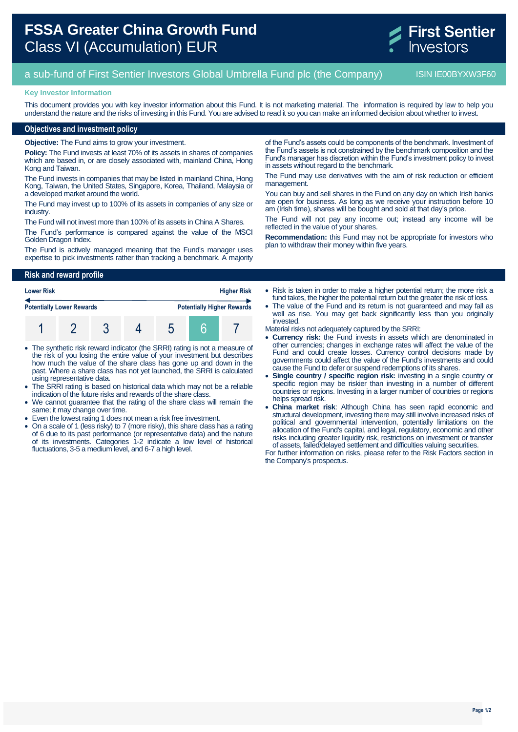# **FSSA Greater China Growth Fund** Class VI (Accumulation) EUR



# a sub-fund of First Sentier Investors Global Umbrella Fund plc (the Company) ISIN IE00BYXW3F60

#### **Key Investor Information**

This document provides you with key investor information about this Fund. It is not marketing material. The information is required by law to help you understand the nature and the risks of investing in this Fund. You are advised to read it so you can make an informed decision about whether to invest.

### **Objectives and investment policy**

**Objective:** The Fund aims to grow your investment.

**Policy:** The Fund invests at least 70% of its assets in shares of companies which are based in, or are closely associated with, mainland China, Hong Kong and Taiwan.

The Fund invests in companies that may be listed in mainland China, Hong Kong, Taiwan, the United States, Singapore, Korea, Thailand, Malaysia or a developed market around the world.

The Fund may invest up to 100% of its assets in companies of any size or industry.

The Fund will not invest more than 100% of its assets in China A Shares.

The Fund's performance is compared against the value of the MSCI Golden Dragon Index.

The Fund is actively managed meaning that the Fund's manager uses expertise to pick investments rather than tracking a benchmark. A majority

**Risk and reward profile**

| <b>Lower Risk</b>                |  | <b>Higher Risk</b> |   |  |                                   |
|----------------------------------|--|--------------------|---|--|-----------------------------------|
| <b>Potentially Lower Rewards</b> |  |                    |   |  | <b>Potentially Higher Rewards</b> |
|                                  |  |                    | O |  |                                   |

- The synthetic risk reward indicator (the SRRI) rating is not a measure of the risk of you losing the entire value of your investment but describes how much the value of the share class has gone up and down in the past. Where a share class has not yet launched, the SRRI is calculated using representative data.
- The SRRI rating is based on historical data which may not be a reliable indication of the future risks and rewards of the share class.
- We cannot guarantee that the rating of the share class will remain the same; it may change over time.
- Even the lowest rating 1 does not mean a risk free investment.
- On a scale of 1 (less risky) to 7 (more risky), this share class has a rating of 6 due to its past performance (or representative data) and the nature of its investments. Categories 1-2 indicate a low level of historical fluctuations, 3-5 a medium level, and 6-7 a high level.

of the Fund's assets could be components of the benchmark. Investment of the Fund's assets is not constrained by the benchmark composition and the Fund's manager has discretion within the Fund's investment policy to invest in assets without regard to the benchmark.

The Fund may use derivatives with the aim of risk reduction or efficient management.

You can buy and sell shares in the Fund on any day on which Irish banks are open for business. As long as we receive your instruction before 10 am (Irish time), shares will be bought and sold at that day's price.

The Fund will not pay any income out; instead any income will be reflected in the value of your shares.

**Recommendation:** this Fund may not be appropriate for investors who plan to withdraw their money within five years.

• Risk is taken in order to make a higher potential return; the more risk a fund takes, the higher the potential return but the greater the risk of loss.

 The value of the Fund and its return is not guaranteed and may fall as well as rise. You may get back significantly less than you originally invested.

Material risks not adequately captured by the SRRI:

- **Currency risk:** the Fund invests in assets which are denominated in other currencies; changes in exchange rates will affect the value of the Fund and could create losses. Currency control decisions made by governments could affect the value of the Fund's investments and could cause the Fund to defer or suspend redemptions of its shares.
- **Single country / specific region risk:** investing in a single country or specific region may be riskier than investing in a number of different countries or regions. Investing in a larger number of countries or regions helps spread risk.
- **China market risk**: Although China has seen rapid economic and structural development, investing there may still involve increased risks of political and governmental intervention, potentially limitations on the allocation of the Fund's capital, and legal, regulatory, economic and other risks including greater liquidity risk, restrictions on investment or transfer of assets, failed/delayed settlement and difficulties valuing securities.

For further information on risks, please refer to the Risk Factors section in the Company's prospectus.